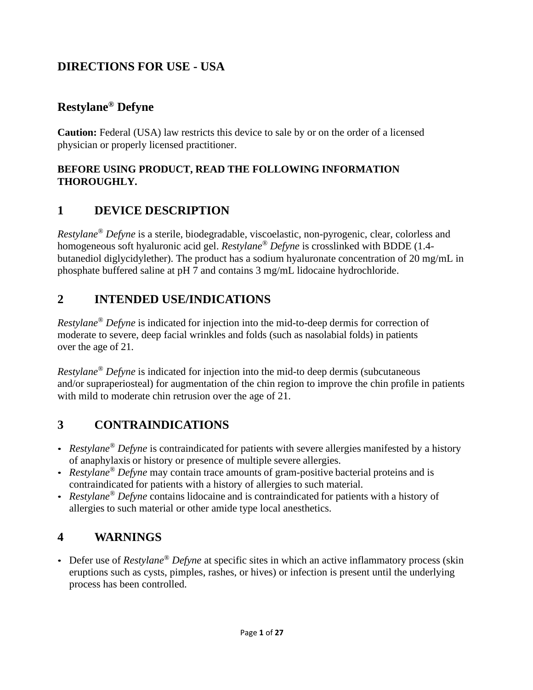# **DIRECTIONS FOR USE - USA**

## **Restylane® Defyne**

**Caution:** Federal (USA) law restricts this device to sale by or on the order of a licensed physician or properly licensed practitioner.

### **BEFORE USING PRODUCT, READ THE FOLLOWING INFORMATION THOROUGHLY.**

# **1 DEVICE DESCRIPTION**

*Restylane® Defyne* is a sterile, biodegradable, viscoelastic, non-pyrogenic, clear, colorless and homogeneous soft hyaluronic acid gel. *Restylane ® Defyne* is crosslinked with BDDE (1.4 butanediol diglycidylether). The product has a sodium hyaluronate concentration of 20 mg/mL in phosphate buffered saline at pH 7 and contains 3 mg/mL lidocaine hydrochloride.

### **2 INTENDED USE/INDICATIONS**

*Restylane® Defyne* is indicated for injection into the mid-to-deep dermis for correction of moderate to severe, deep facial wrinkles and folds (such as nasolabial folds) in patients over the age of 21.

*Restylane® Defyne* is indicated for injection into the mid-to deep dermis (subcutaneous and/or supraperiosteal) for augmentation of the chin region to improve the chin profile in patients with mild to moderate chin retrusion over the age of 21.

### **3 CONTRAINDICATIONS**

- *Restylane<sup>®</sup> Defyne* is contraindicated for patients with severe allergies manifested by a history of anaphylaxis or history or presence of multiple severe allergies.
- *Restylane® Defyne* may contain trace amounts of gram-positive bacterial proteins and is contraindicated for patients with a history of allergies to such material.
- *Restylane® Defyne* contains lidocaine and is contraindicated for patients with a history of allergies to such material or other amide type local anesthetics.

### **4 WARNINGS**

• Defer use of *Restylane® Defyne* at specific sites in which an active inflammatory process (skin eruptions such as cysts, pimples, rashes, or hives) or infection is present until the underlying process has been controlled.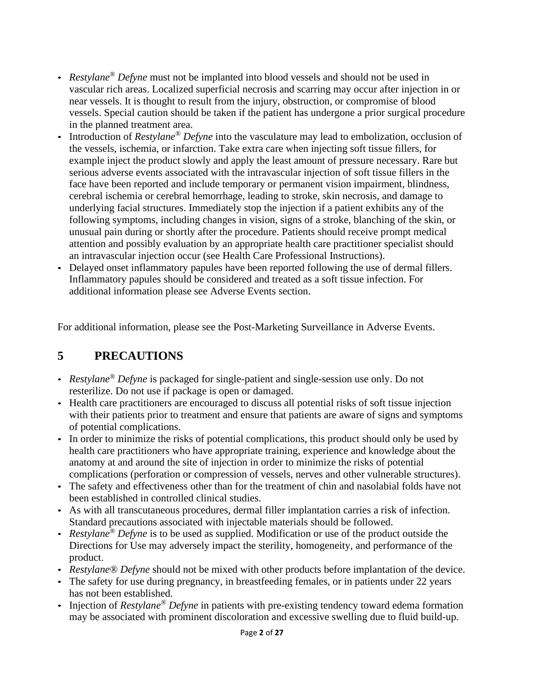- *Restylane® Defyne* must not be implanted into blood vessels and should not be used in vascular rich areas. Localized superficial necrosis and scarring may occur after injection in or near vessels. It is thought to result from the injury, obstruction, or compromise of blood vessels. Special caution should be taken if the patient has undergone a prior surgical procedure in the planned treatment area.
- Introduction of *Restylane® Defyne* into the vasculature may lead to embolization, occlusion of the vessels, ischemia, or infarction. Take extra care when injecting soft tissue fillers, for example inject the product slowly and apply the least amount of pressure necessary. Rare but serious adverse events associated with the intravascular injection of soft tissue fillers in the face have been reported and include temporary or permanent vision impairment, blindness, cerebral ischemia or cerebral hemorrhage, leading to stroke, skin necrosis, and damage to underlying facial structures. Immediately stop the injection if a patient exhibits any of the following symptoms, including changes in vision, signs of a stroke, blanching of the skin, or unusual pain during or shortly after the procedure. Patients should receive prompt medical attention and possibly evaluation by an appropriate health care practitioner specialist should an intravascular injection occur (see Health Care Professional Instructions).
- Delayed onset inflammatory papules have been reported following the use of dermal fillers. Inflammatory papules should be considered and treated as a soft tissue infection. For additional information please see Adverse Events section.

For additional information, please see the Post-Marketing Surveillance in Adverse Events.

# **5 PRECAUTIONS**

- *Restylane® Defyne* is packaged for single-patient and single-session use only. Do not resterilize. Do not use if package is open or damaged.
- Health care practitioners are encouraged to discuss all potential risks of soft tissue injection with their patients prior to treatment and ensure that patients are aware of signs and symptoms of potential complications.
- In order to minimize the risks of potential complications, this product should only be used by health care practitioners who have appropriate training, experience and knowledge about the anatomy at and around the site of injection in order to minimize the risks of potential complications (perforation or compression of vessels, nerves and other vulnerable structures).
- The safety and effectiveness other than for the treatment of chin and nasolabial folds have not been established in controlled clinical studies.
- As with all transcutaneous procedures, dermal filler implantation carries a risk of infection. Standard precautions associated with injectable materials should be followed.
- *Restylane® Defyne* is to be used as supplied. Modification or use of the product outside the Directions for Use may adversely impact the sterility, homogeneity, and performance of the product.
- *Restylane® Defyne* should not be mixed with other products before implantation of the device.
- The safety for use during pregnancy, in breastfeeding females, or in patients under 22 years has not been established.
- Injection of *Restylane® Defyne* in patients with pre-existing tendency toward edema formation may be associated with prominent discoloration and excessive swelling due to fluid build-up.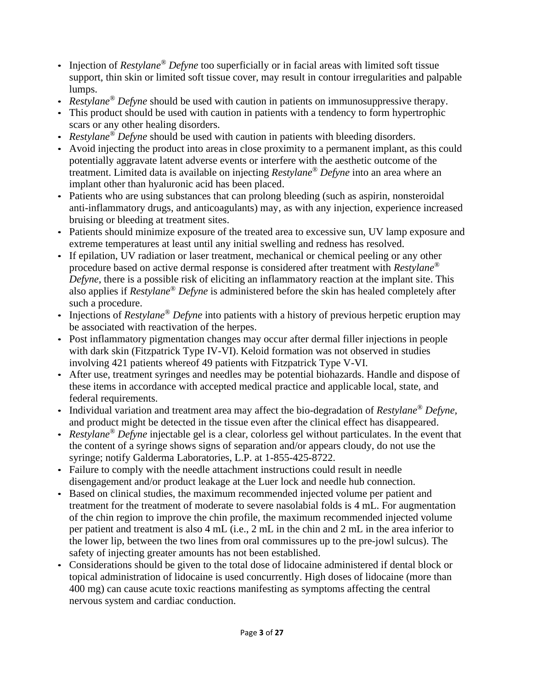- Injection of *Restylane® Defyne* too superficially or in facial areas with limited soft tissue support, thin skin or limited soft tissue cover, may result in contour irregularities and palpable lumps.
- *Restylane® Defyne* should be used with caution in patients on immunosuppressive therapy.
- This product should be used with caution in patients with a tendency to form hypertrophic scars or any other healing disorders.
- *Restylane® Defyne* should be used with caution in patients with bleeding disorders.
- Avoid injecting the product into areas in close proximity to a permanent implant, as this could potentially aggravate latent adverse events or interfere with the aesthetic outcome of the treatment. Limited data is available on injecting *Restylane® Defyne* into an area where an implant other than hyaluronic acid has been placed.
- Patients who are using substances that can prolong bleeding (such as aspirin, nonsteroidal anti-inflammatory drugs, and anticoagulants) may, as with any injection, experience increased bruising or bleeding at treatment sites.
- Patients should minimize exposure of the treated area to excessive sun, UV lamp exposure and extreme temperatures at least until any initial swelling and redness has resolved.
- If epilation, UV radiation or laser treatment, mechanical or chemical peeling or any other procedure based on active dermal response is considered after treatment with *Restylane® Defyne*, there is a possible risk of eliciting an inflammatory reaction at the implant site. This also applies if *Restylane® Defyne* is administered before the skin has healed completely after such a procedure.
- Injections of *Restylane® Defyne* into patients with a history of previous herpetic eruption may be associated with reactivation of the herpes.
- Post inflammatory pigmentation changes may occur after dermal filler injections in people with dark skin (Fitzpatrick Type IV-VI). Keloid formation was not observed in studies involving 421 patients whereof 49 patients with Fitzpatrick Type V-VI.
- After use, treatment syringes and needles may be potential biohazards. Handle and dispose of these items in accordance with accepted medical practice and applicable local, state, and federal requirements.
- Individual variation and treatment area may affect the bio-degradation of *Restylane® Defyne,*  and product might be detected in the tissue even after the clinical effect has disappeared.
- *Restylane® Defyne* injectable gel is a clear, colorless gel without particulates. In the event that the content of a syringe shows signs of separation and/or appears cloudy, do not use the syringe; notify Galderma Laboratories, L.P. at 1-855-425-8722.
- Failure to comply with the needle attachment instructions could result in needle disengagement and/or product leakage at the Luer lock and needle hub connection.
- Based on clinical studies, the maximum recommended injected volume per patient and treatment for the treatment of moderate to severe nasolabial folds is 4 mL. For augmentation of the chin region to improve the chin profile, the maximum recommended injected volume per patient and treatment is also 4 mL (i.e., 2 mL in the chin and 2 mL in the area inferior to the lower lip, between the two lines from oral commissures up to the pre-jowl sulcus). The safety of injecting greater amounts has not been established.
- Considerations should be given to the total dose of lidocaine administered if dental block or topical administration of lidocaine is used concurrently. High doses of lidocaine (more than 400 mg) can cause acute toxic reactions manifesting as symptoms affecting the central nervous system and cardiac conduction.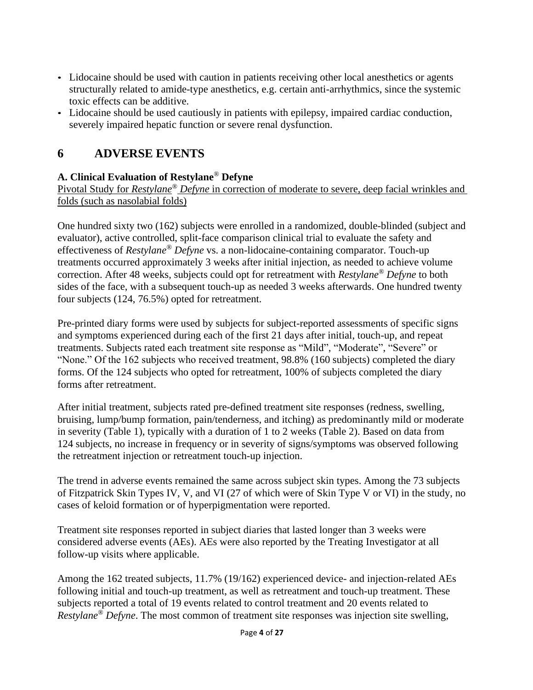- Lidocaine should be used with caution in patients receiving other local anesthetics or agents structurally related to amide-type anesthetics, e.g. certain anti-arrhythmics, since the systemic toxic effects can be additive.
- Lidocaine should be used cautiously in patients with epilepsy, impaired cardiac conduction, severely impaired hepatic function or severe renal dysfunction.

## **6 ADVERSE EVENTS**

### **A. Clinical Evaluation of Restylane***®* **Defyne**

Pivotal Study for *Restylane® Defyne* in correction of moderate to severe, deep facial wrinkles and folds (such as nasolabial folds)

One hundred sixty two (162) subjects were enrolled in a randomized, double-blinded (subject and evaluator), active controlled, split-face comparison clinical trial to evaluate the safety and effectiveness of *Restylane® Defyne* vs. a non-lidocaine-containing comparator. Touch-up treatments occurred approximately 3 weeks after initial injection, as needed to achieve volume correction. After 48 weeks, subjects could opt for retreatment with *Restylane® Defyne* to both sides of the face, with a subsequent touch-up as needed 3 weeks afterwards. One hundred twenty four subjects (124, 76.5%) opted for retreatment.

Pre-printed diary forms were used by subjects for subject-reported assessments of specific signs and symptoms experienced during each of the first 21 days after initial, touch-up, and repeat treatments. Subjects rated each treatment site response as "Mild", "Moderate", "Severe" or "None." Of the 162 subjects who received treatment, 98.8% (160 subjects) completed the diary forms. Of the 124 subjects who opted for retreatment, 100% of subjects completed the diary forms after retreatment.

After initial treatment, subjects rated pre-defined treatment site responses (redness, swelling, bruising, lump/bump formation, pain/tenderness, and itching) as predominantly mild or moderate in severity (Table 1), typically with a duration of 1 to 2 weeks (Table 2). Based on data from 124 subjects, no increase in frequency or in severity of signs/symptoms was observed following the retreatment injection or retreatment touch-up injection.

The trend in adverse events remained the same across subject skin types. Among the 73 subjects of Fitzpatrick Skin Types IV, V, and VI (27 of which were of Skin Type V or VI) in the study, no cases of keloid formation or of hyperpigmentation were reported.

Treatment site responses reported in subject diaries that lasted longer than 3 weeks were considered adverse events (AEs). AEs were also reported by the Treating Investigator at all follow-up visits where applicable.

Among the 162 treated subjects, 11.7% (19/162) experienced device- and injection-related AEs following initial and touch-up treatment, as well as retreatment and touch-up treatment. These subjects reported a total of 19 events related to control treatment and 20 events related to *Restylane® Defyne*. The most common of treatment site responses was injection site swelling,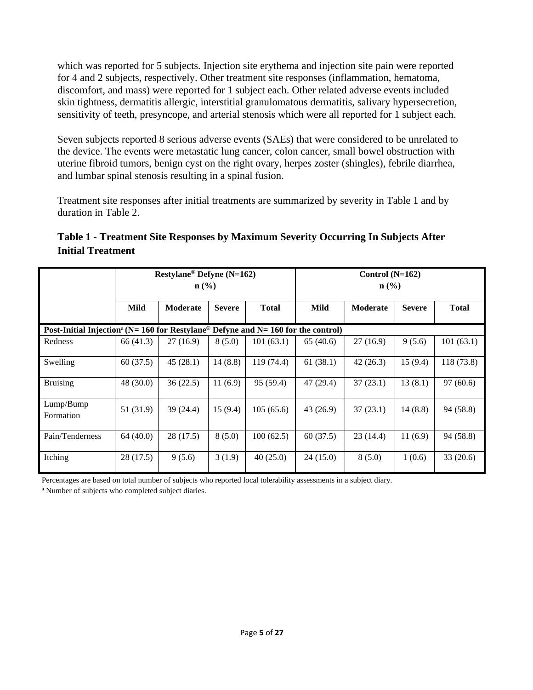which was reported for 5 subjects. Injection site erythema and injection site pain were reported for 4 and 2 subjects, respectively. Other treatment site responses (inflammation, hematoma, discomfort, and mass) were reported for 1 subject each. Other related adverse events included skin tightness, dermatitis allergic, interstitial granulomatous dermatitis, salivary hypersecretion, sensitivity of teeth, presyncope, and arterial stenosis which were all reported for 1 subject each.

Seven subjects reported 8 serious adverse events (SAEs) that were considered to be unrelated to the device. The events were metastatic lung cancer, colon cancer, small bowel obstruction with uterine fibroid tumors, benign cyst on the right ovary, herpes zoster (shingles), febrile diarrhea, and lumbar spinal stenosis resulting in a spinal fusion.

Treatment site responses after initial treatments are summarized by severity in Table 1 and by duration in Table 2.

| Table 1 - Treatment Site Responses by Maximum Severity Occurring In Subjects After |  |
|------------------------------------------------------------------------------------|--|
| <b>Initial Treatment</b>                                                           |  |

|                                                                                                           | Restylane <sup>®</sup> Defyne (N=162)<br>n (% ) |                 |               | Control $(N=162)$<br>$\mathbf{n}(\%)$ |           |          |               |              |
|-----------------------------------------------------------------------------------------------------------|-------------------------------------------------|-----------------|---------------|---------------------------------------|-----------|----------|---------------|--------------|
|                                                                                                           | <b>Mild</b>                                     | <b>Moderate</b> | <b>Severe</b> | <b>Total</b>                          | Mild      | Moderate | <b>Severe</b> | <b>Total</b> |
| Post-Initial Injection <sup>a</sup> (N= 160 for Restylane <sup>®</sup> Defyne and N= 160 for the control) |                                                 |                 |               |                                       |           |          |               |              |
| Redness                                                                                                   | 66 (41.3)                                       | 27 (16.9)       | 8(5.0)        | 101(63.1)                             | 65(40.6)  | 27(16.9) | 9(5.6)        | 101(63.1)    |
| Swelling                                                                                                  | 60(37.5)                                        | 45(28.1)        | 14(8.8)       | 119 (74.4)                            | 61(38.1)  | 42(26.3) | 15(9.4)       | 118 (73.8)   |
| <b>Bruising</b>                                                                                           | 48 (30.0)                                       | 36(22.5)        | 11(6.9)       | 95 (59.4)                             | 47 (29.4) | 37(23.1) | 13(8.1)       | 97(60.6)     |
| Lump/Bump<br>Formation                                                                                    | 51 (31.9)                                       | 39 (24.4)       | 15(9.4)       | 105(65.6)                             | 43 (26.9) | 37(23.1) | 14(8.8)       | 94 (58.8)    |
| Pain/Tenderness                                                                                           | 64(40.0)                                        | 28(17.5)        | 8(5.0)        | 100(62.5)                             | 60(37.5)  | 23(14.4) | 11(6.9)       | 94 (58.8)    |
| Itching                                                                                                   | 28(17.5)                                        | 9(5.6)          | 3(1.9)        | 40(25.0)                              | 24(15.0)  | 8(5.0)   | 1(0.6)        | 33(20.6)     |

Percentages are based on total number of subjects who reported local tolerability assessments in a subject diary.

<sup>a</sup> Number of subjects who completed subject diaries.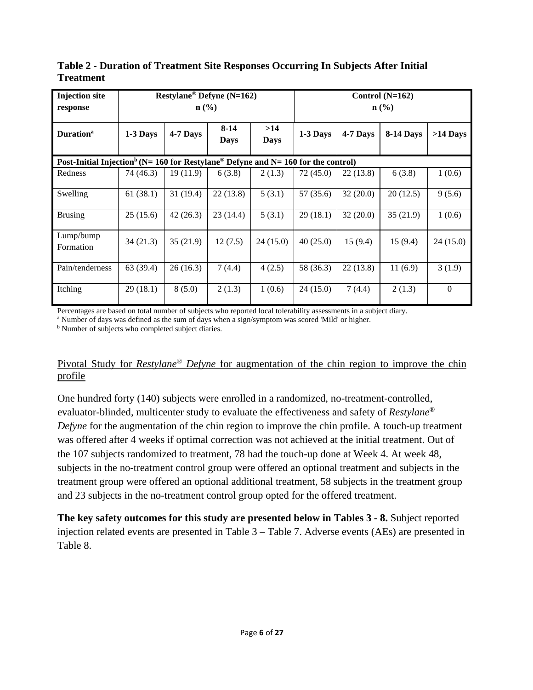| <b>Injection site</b><br>response                                                                         | Restylane <sup>®</sup> Defyne (N=162)<br>$\mathbf{n}(\%)$ |          |                         |                    |           | Control $(N=162)$<br>$\mathbf{n}(\%)$ |           |            |
|-----------------------------------------------------------------------------------------------------------|-----------------------------------------------------------|----------|-------------------------|--------------------|-----------|---------------------------------------|-----------|------------|
| <b>Duration</b> <sup>a</sup>                                                                              | 1-3 Days                                                  | 4-7 Days | $8 - 14$<br><b>Days</b> | >14<br><b>Days</b> | 1-3 Days  | 4-7 Days                              | 8-14 Days | $>14$ Days |
| Post-Initial Injection <sup>b</sup> (N= 160 for Restylane <sup>®</sup> Defyne and N= 160 for the control) |                                                           |          |                         |                    |           |                                       |           |            |
| Redness                                                                                                   | 74 (46.3)                                                 | 19(11.9) | 6(3.8)                  | 2(1.3)             | 72(45.0)  | 22(13.8)                              | 6(3.8)    | 1(0.6)     |
| Swelling                                                                                                  | 61(38.1)                                                  | 31(19.4) | 22(13.8)                | 5(3.1)             | 57 (35.6) | 32(20.0)                              | 20(12.5)  | 9(5.6)     |
| <b>Brusing</b>                                                                                            | 25(15.6)                                                  | 42(26.3) | 23(14.4)                | 5(3.1)             | 29(18.1)  | 32(20.0)                              | 35(21.9)  | 1(0.6)     |
| Lump/bump<br>Formation                                                                                    | 34(21.3)                                                  | 35(21.9) | 12(7.5)                 | 24 (15.0)          | 40(25.0)  | 15(9.4)                               | 15(9.4)   | 24(15.0)   |
| Pain/tenderness                                                                                           | 63 (39.4)                                                 | 26(16.3) | 7 (4.4)                 | 4(2.5)             | 58 (36.3) | 22(13.8)                              | 11(6.9)   | 3(1.9)     |
| Itching                                                                                                   | 29(18.1)                                                  | 8(5.0)   | 2(1.3)                  | 1(0.6)             | 24(15.0)  | 7(4.4)                                | 2(1.3)    | $\Omega$   |

**Table 2 - Duration of Treatment Site Responses Occurring In Subjects After Initial Treatment**

Percentages are based on total number of subjects who reported local tolerability assessments in a subject diary.

<sup>a</sup> Number of days was defined as the sum of days when a sign/symptom was scored 'Mild' or higher.

b Number of subjects who completed subject diaries.

#### Pivotal Study for *Restylane® Defyne* for augmentation of the chin region to improve the chin profile

One hundred forty (140) subjects were enrolled in a randomized, no-treatment-controlled, evaluator-blinded, multicenter study to evaluate the effectiveness and safety of *Restylane® Defyne* for the augmentation of the chin region to improve the chin profile. A touch-up treatment was offered after 4 weeks if optimal correction was not achieved at the initial treatment. Out of the 107 subjects randomized to treatment, 78 had the touch-up done at Week 4. At week 48, subjects in the no-treatment control group were offered an optional treatment and subjects in the treatment group were offered an optional additional treatment, 58 subjects in the treatment group and 23 subjects in the no-treatment control group opted for the offered treatment.

**The key safety outcomes for this study are presented below in Tables 3 - 8.** Subject reported injection related events are presented in Table 3 – Table 7. Adverse events (AEs) are presented in Table 8.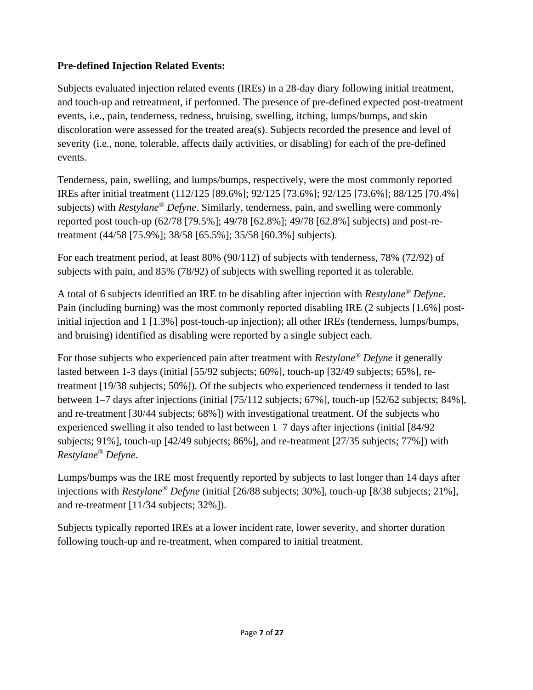### **Pre-defined Injection Related Events:**

Subjects evaluated injection related events (IREs) in a 28-day diary following initial treatment, and touch-up and retreatment, if performed. The presence of pre-defined expected post-treatment events, i.e., pain, tenderness, redness, bruising, swelling, itching, lumps/bumps, and skin discoloration were assessed for the treated area(s). Subjects recorded the presence and level of severity (i.e., none, tolerable, affects daily activities, or disabling) for each of the pre-defined events.

Tenderness, pain, swelling, and lumps/bumps, respectively, were the most commonly reported IREs after initial treatment (112/125 [89.6%]; 92/125 [73.6%]; 92/125 [73.6%]; 88/125 [70.4%] subjects) with *Restylane® Defyne*. Similarly, tenderness, pain, and swelling were commonly reported post touch-up (62/78 [79.5%]; 49/78 [62.8%]; 49/78 [62.8%] subjects) and post-retreatment (44/58 [75.9%]; 38/58 [65.5%]; 35/58 [60.3%] subjects).

For each treatment period, at least 80% (90/112) of subjects with tenderness, 78% (72/92) of subjects with pain, and 85% (78/92) of subjects with swelling reported it as tolerable.

A total of 6 subjects identified an IRE to be disabling after injection with *Restylane® Defyne*. Pain (including burning) was the most commonly reported disabling IRE (2 subjects [1.6%] postinitial injection and 1 [1.3%] post-touch-up injection); all other IREs (tenderness, lumps/bumps, and bruising) identified as disabling were reported by a single subject each.

For those subjects who experienced pain after treatment with *Restylane® Defyne* it generally lasted between 1-3 days (initial [55/92 subjects; 60%], touch-up [32/49 subjects; 65%], retreatment [19/38 subjects; 50%]). Of the subjects who experienced tenderness it tended to last between 1–7 days after injections (initial [75/112 subjects; 67%], touch-up [52/62 subjects; 84%], and re-treatment [30/44 subjects; 68%]) with investigational treatment. Of the subjects who experienced swelling it also tended to last between 1–7 days after injections (initial [84/92 subjects; 91%], touch-up [42/49 subjects; 86%], and re-treatment [27/35 subjects; 77%]) with *Restylane® Defyne*.

Lumps/bumps was the IRE most frequently reported by subjects to last longer than 14 days after injections with *Restylane® Defyne* (initial [26/88 subjects; 30%], touch-up [8/38 subjects; 21%], and re-treatment [11/34 subjects; 32%]).

Subjects typically reported IREs at a lower incident rate, lower severity, and shorter duration following touch-up and re-treatment, when compared to initial treatment.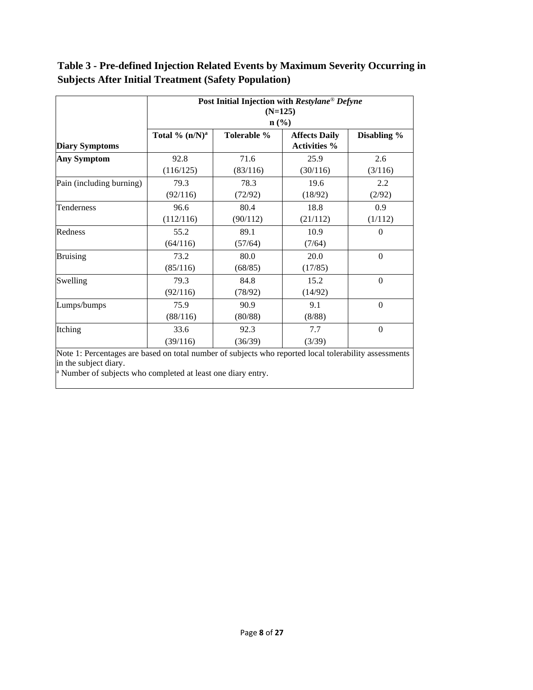**Table 3 - Pre-defined Injection Related Events by Maximum Severity Occurring in Subjects After Initial Treatment (Safety Population)**

|                          | Post Initial Injection with Restylane <sup>®</sup> Defyne<br>$(N=125)$ |             |                                             |                  |  |  |  |  |
|--------------------------|------------------------------------------------------------------------|-------------|---------------------------------------------|------------------|--|--|--|--|
|                          |                                                                        |             |                                             |                  |  |  |  |  |
| <b>Diary Symptoms</b>    | Total % $(n/N)^a$                                                      | Tolerable % | <b>Affects Daily</b><br><b>Activities %</b> | Disabling %      |  |  |  |  |
| Any Symptom              | 92.8                                                                   | 71.6        | 25.9                                        | 2.6              |  |  |  |  |
|                          | (116/125)                                                              | (83/116)    | (30/116)                                    | (3/116)          |  |  |  |  |
| Pain (including burning) | 79.3                                                                   | 78.3        | 19.6                                        | 2.2              |  |  |  |  |
|                          | (92/116)                                                               | (72/92)     | (18/92)                                     | (2/92)           |  |  |  |  |
| Tenderness               | 96.6                                                                   | 80.4        | 18.8                                        | 0.9              |  |  |  |  |
|                          | (112/116)                                                              | (90/112)    | (21/112)                                    | (1/112)          |  |  |  |  |
| Redness                  | 55.2                                                                   | 89.1        | 10.9                                        | $\theta$         |  |  |  |  |
|                          | (64/116)                                                               | (57/64)     | (7/64)                                      |                  |  |  |  |  |
| <b>Bruising</b>          | 73.2                                                                   | 80.0        | 20.0                                        | $\Omega$         |  |  |  |  |
|                          | (85/116)                                                               | (68/85)     | (17/85)                                     |                  |  |  |  |  |
| Swelling                 | 79.3                                                                   | 84.8        | 15.2                                        | $\boldsymbol{0}$ |  |  |  |  |
|                          | (92/116)                                                               | (78/92)     | (14/92)                                     |                  |  |  |  |  |
| Lumps/bumps              | 75.9                                                                   | 90.9        | 9.1                                         | $\Omega$         |  |  |  |  |
|                          | (88/116)                                                               | (80/88)     | (8/88)                                      |                  |  |  |  |  |
| Itching                  | 33.6                                                                   | 92.3        | 7.7                                         | $\mathbf{0}$     |  |  |  |  |
|                          | (39/116)                                                               | (36/39)     | (3/39)                                      |                  |  |  |  |  |

Percentages are based on total number of subjects who reported local tolerability assessments in the subject diary.

<sup>a</sup> Number of subjects who completed at least one diary entry.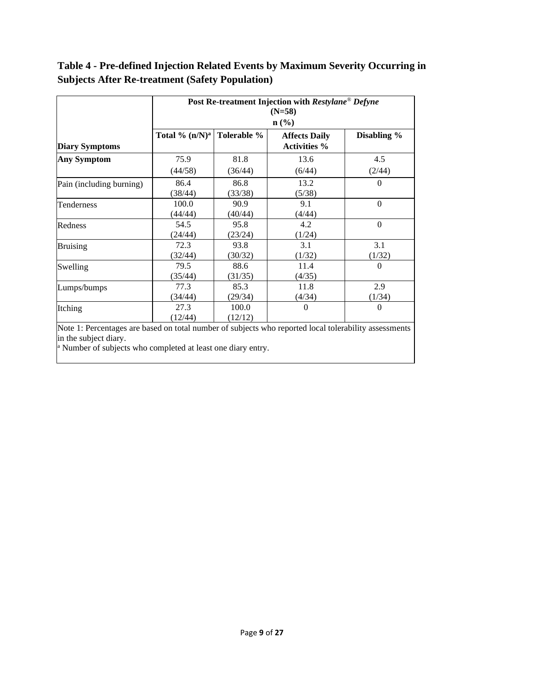**Table 4 - Pre-defined Injection Related Events by Maximum Severity Occurring in Subjects After Re-treatment (Safety Population)**

|                          | Post Re-treatment Injection with Restylane® Defyne<br>$(N=58)$ |                  |                                                                 |               |  |  |  |
|--------------------------|----------------------------------------------------------------|------------------|-----------------------------------------------------------------|---------------|--|--|--|
| <b>Diary Symptoms</b>    | Total % $(n/N)^a$                                              | Tolerable %      | $\mathbf{n}(\%)$<br><b>Affects Daily</b><br><b>Activities</b> % | Disabling %   |  |  |  |
| Any Symptom              | 75.9                                                           | 81.8             | 13.6                                                            | 4.5           |  |  |  |
|                          | (44/58)                                                        | (36/44)          | (6/44)                                                          | (2/44)        |  |  |  |
| Pain (including burning) | 86.4<br>(38/44)                                                | 86.8<br>(33/38)  | 13.2<br>(5/38)                                                  | $\Omega$      |  |  |  |
| Tenderness               | 100.0<br>(44/44)                                               | 90.9<br>(40/44)  | 9.1<br>(4/44)                                                   | $\Omega$      |  |  |  |
| Redness                  | 54.5<br>(24/44)                                                | 95.8<br>(23/24)  | 4.2<br>(1/24)                                                   | $\Omega$      |  |  |  |
| <b>Bruising</b>          | 72.3<br>(32/44)                                                | 93.8<br>(30/32)  | 3.1<br>(1/32)                                                   | 3.1<br>(1/32) |  |  |  |
| Swelling                 | 79.5<br>(35/44)                                                | 88.6<br>(31/35)  | 11.4<br>(4/35)                                                  | $\Omega$      |  |  |  |
| Lumps/bumps              | 77.3<br>(34/44)                                                | 85.3<br>(29/34)  | 11.8<br>(4/34)                                                  | 2.9<br>(1/34) |  |  |  |
| Itching                  | 27.3<br>(12/44)                                                | 100.0<br>(12/12) | $\Omega$                                                        | $\Omega$      |  |  |  |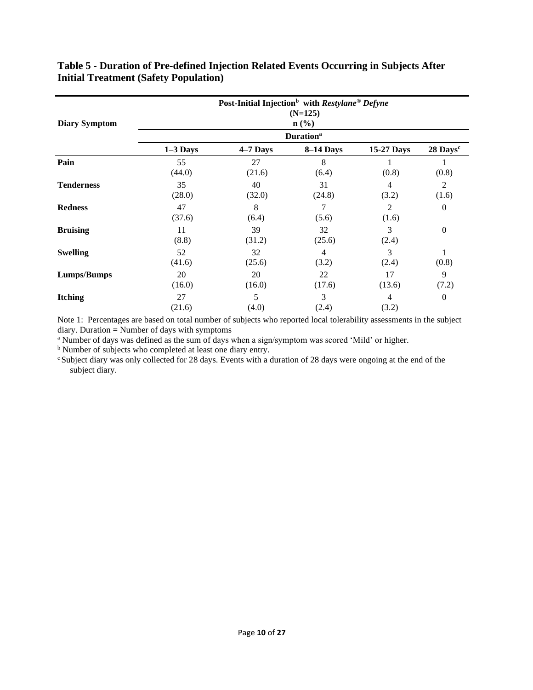| <b>Diary Symptom</b> | Post-Initial Injection <sup>b</sup> with Restylane <sup>®</sup> Defyne<br>$(N=125)$<br>$n\left(\frac{9}{6}\right)$ |                              |              |              |                      |  |  |  |  |
|----------------------|--------------------------------------------------------------------------------------------------------------------|------------------------------|--------------|--------------|----------------------|--|--|--|--|
|                      |                                                                                                                    | <b>Duration</b> <sup>a</sup> |              |              |                      |  |  |  |  |
|                      | $1-3$ Days                                                                                                         | $4-7$ Days                   | 8-14 Days    | 15-27 Days   | 28 Days <sup>c</sup> |  |  |  |  |
| Pain                 | 55<br>(44.0)                                                                                                       | 27<br>(21.6)                 | 8<br>(6.4)   | (0.8)        | 1<br>(0.8)           |  |  |  |  |
| <b>Tenderness</b>    | 35<br>(28.0)                                                                                                       | 40<br>(32.0)                 | 31<br>(24.8) | 4<br>(3.2)   | 2<br>(1.6)           |  |  |  |  |
| <b>Redness</b>       | 47<br>(37.6)                                                                                                       | 8<br>(6.4)                   | 7<br>(5.6)   | 2<br>(1.6)   | $\boldsymbol{0}$     |  |  |  |  |
| <b>Bruising</b>      | 11<br>(8.8)                                                                                                        | 39<br>(31.2)                 | 32<br>(25.6) | 3<br>(2.4)   | $\boldsymbol{0}$     |  |  |  |  |
| <b>Swelling</b>      | 52<br>(41.6)                                                                                                       | 32<br>(25.6)                 | 4<br>(3.2)   | 3<br>(2.4)   | 1<br>(0.8)           |  |  |  |  |
| <b>Lumps/Bumps</b>   | 20<br>(16.0)                                                                                                       | 20<br>(16.0)                 | 22<br>(17.6) | 17<br>(13.6) | 9<br>(7.2)           |  |  |  |  |
| <b>Itching</b>       | 27<br>(21.6)                                                                                                       | 5<br>(4.0)                   | 3<br>(2.4)   | 4<br>(3.2)   | $\boldsymbol{0}$     |  |  |  |  |

#### **Table 5 - Duration of Pre-defined Injection Related Events Occurring in Subjects After Initial Treatment (Safety Population)**

Note 1: Percentages are based on total number of subjects who reported local tolerability assessments in the subject diary. Duration = Number of days with symptoms

<sup>a</sup> Number of days was defined as the sum of days when a sign/symptom was scored 'Mild' or higher.

<sup>b</sup> Number of subjects who completed at least one diary entry.

<sup>c</sup> Subject diary was only collected for 28 days. Events with a duration of 28 days were ongoing at the end of the subject diary.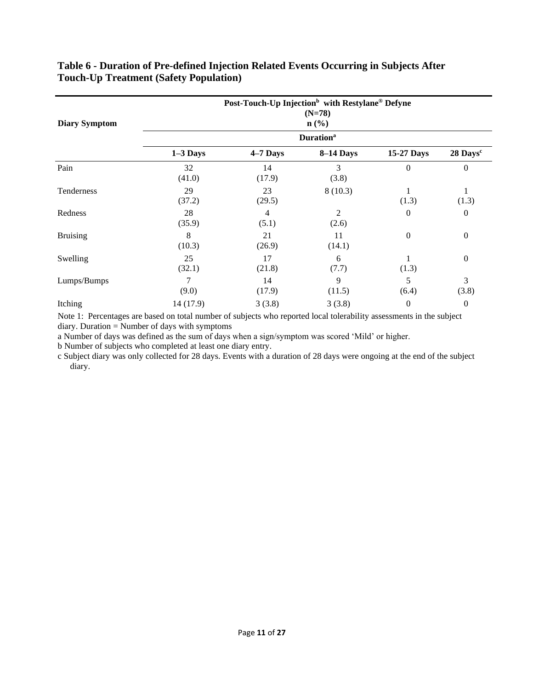| <b>Diary Symptom</b> |              | Post-Touch-Up Injection <sup>b</sup> with Restylane <sup>®</sup> Defyne | $(N=78)$<br>$\mathbf{n}(\%)$ |                  |                      |
|----------------------|--------------|-------------------------------------------------------------------------|------------------------------|------------------|----------------------|
|                      |              |                                                                         | <b>Duration</b> <sup>a</sup> |                  |                      |
|                      | $1-3$ Days   | 4-7 Days                                                                | 8-14 Days                    | 15-27 Days       | 28 Days <sup>c</sup> |
| Pain                 | 32<br>(41.0) | 14<br>(17.9)                                                            | 3<br>(3.8)                   | $\Omega$         | $\overline{0}$       |
| Tenderness           | 29<br>(37.2) | 23<br>(29.5)                                                            | 8(10.3)                      | (1.3)            | 1<br>(1.3)           |
| Redness              | 28<br>(35.9) | $\overline{4}$<br>(5.1)                                                 | $\overline{2}$<br>(2.6)      | $\boldsymbol{0}$ | $\boldsymbol{0}$     |
| <b>Bruising</b>      | 8<br>(10.3)  | 21<br>(26.9)                                                            | 11<br>(14.1)                 | $\mathbf{0}$     | $\boldsymbol{0}$     |
| Swelling             | 25<br>(32.1) | 17<br>(21.8)                                                            | 6<br>(7.7)                   | (1.3)            | $\boldsymbol{0}$     |
| Lumps/Bumps          | 7<br>(9.0)   | 14<br>(17.9)                                                            | 9<br>(11.5)                  | 5<br>(6.4)       | 3<br>(3.8)           |
| Itching              | 14 (17.9)    | 3(3.8)                                                                  | 3(3.8)                       | $\boldsymbol{0}$ | $\boldsymbol{0}$     |

#### **Table 6 - Duration of Pre-defined Injection Related Events Occurring in Subjects After Touch-Up Treatment (Safety Population)**

Note 1: Percentages are based on total number of subjects who reported local tolerability assessments in the subject diary. Duration = Number of days with symptoms

a Number of days was defined as the sum of days when a sign/symptom was scored 'Mild' or higher.

b Number of subjects who completed at least one diary entry.

c Subject diary was only collected for 28 days. Events with a duration of 28 days were ongoing at the end of the subject diary.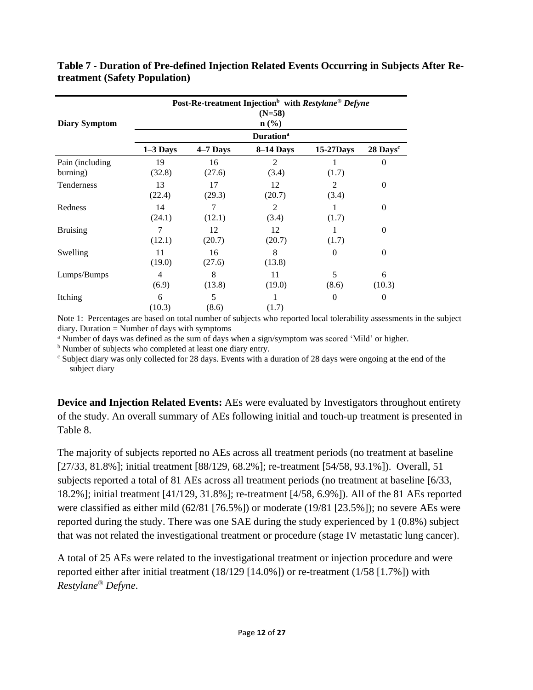| <b>Diary Symptom</b>        | Post-Re-treatment Injection <sup>b</sup> with Restylane <sup>®</sup> Defyne<br>$(N=58)$<br>$\mathbf{n}(\%)$ |                              |                         |            |                      |  |  |  |  |  |
|-----------------------------|-------------------------------------------------------------------------------------------------------------|------------------------------|-------------------------|------------|----------------------|--|--|--|--|--|
|                             |                                                                                                             | <b>Duration</b> <sup>a</sup> |                         |            |                      |  |  |  |  |  |
|                             | $1-3$ Days                                                                                                  | $4-7$ Days                   | 8-14 Days               | 15-27Days  | 28 Days <sup>c</sup> |  |  |  |  |  |
| Pain (including<br>burning) | 19<br>(32.8)                                                                                                | 16<br>(27.6)                 | 2<br>(3.4)              | (1.7)      | $\Omega$             |  |  |  |  |  |
| Tenderness                  | 13<br>(22.4)                                                                                                | 17<br>(29.3)                 | 12<br>(20.7)            | 2<br>(3.4) | $\theta$             |  |  |  |  |  |
| Redness                     | 14<br>(24.1)                                                                                                | 7<br>(12.1)                  | $\overline{2}$<br>(3.4) | (1.7)      | $\theta$             |  |  |  |  |  |
| <b>Bruising</b>             | 7<br>(12.1)                                                                                                 | 12<br>(20.7)                 | 12<br>(20.7)            | (1.7)      | $\theta$             |  |  |  |  |  |
| Swelling                    | 11<br>(19.0)                                                                                                | 16<br>(27.6)                 | 8<br>(13.8)             | $\theta$   | $\theta$             |  |  |  |  |  |
| Lumps/Bumps                 | 4<br>(6.9)                                                                                                  | 8<br>(13.8)                  | 11<br>(19.0)            | 5<br>(8.6) | 6<br>(10.3)          |  |  |  |  |  |
| Itching                     | 6<br>(10.3)                                                                                                 | 5<br>(8.6)                   | 1<br>(1.7)              | $\theta$   | $\boldsymbol{0}$     |  |  |  |  |  |

**Table 7 - Duration of Pre-defined Injection Related Events Occurring in Subjects After Retreatment (Safety Population)**

Note 1: Percentages are based on total number of subjects who reported local tolerability assessments in the subject  $diary.$  Duration = Number of days with symptoms

<sup>a</sup> Number of days was defined as the sum of days when a sign/symptom was scored 'Mild' or higher.

<sup>b</sup> Number of subjects who completed at least one diary entry.

<sup>c</sup> Subject diary was only collected for 28 days. Events with a duration of 28 days were ongoing at the end of the subject diary

**Device and Injection Related Events:** AEs were evaluated by Investigators throughout entirety of the study. An overall summary of AEs following initial and touch-up treatment is presented in Table 8.

The majority of subjects reported no AEs across all treatment periods (no treatment at baseline [27/33, 81.8%]; initial treatment [88/129, 68.2%]; re-treatment [54/58, 93.1%]). Overall, 51 subjects reported a total of 81 AEs across all treatment periods (no treatment at baseline [6/33, 18.2%]; initial treatment [41/129, 31.8%]; re-treatment [4/58, 6.9%]). All of the 81 AEs reported were classified as either mild (62/81 [76.5%]) or moderate (19/81 [23.5%]); no severe AEs were reported during the study. There was one SAE during the study experienced by 1 (0.8%) subject that was not related the investigational treatment or procedure (stage IV metastatic lung cancer).

A total of 25 AEs were related to the investigational treatment or injection procedure and were reported either after initial treatment (18/129 [14.0%]) or re-treatment (1/58 [1.7%]) with *Restylane® Defyne*.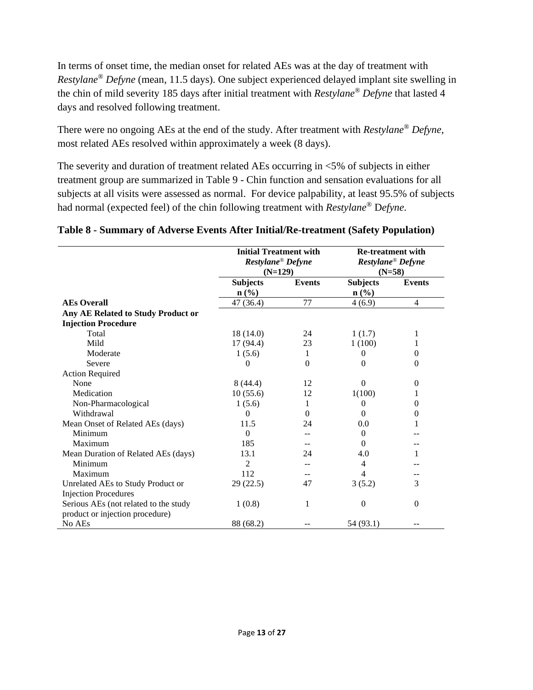In terms of onset time, the median onset for related AEs was at the day of treatment with *Restylane® Defyne* (mean, 11.5 days). One subject experienced delayed implant site swelling in the chin of mild severity 185 days after initial treatment with *Restylane ® Defyne* that lasted 4 days and resolved following treatment.

There were no ongoing AEs at the end of the study. After treatment with *Restylane® Defyne*, most related AEs resolved within approximately a week (8 days).

The severity and duration of treatment related AEs occurring in <5% of subjects in either treatment group are summarized in Table 9 - Chin function and sensation evaluations for all subjects at all visits were assessed as normal. For device palpability, at least 95.5% of subjects had normal (expected feel) of the chin following treatment with *Restylane®* D*efyne*.

|                                       | <b>Initial Treatment with</b><br>Restylane <sup>®</sup> Defyne<br>$(N=129)$ |               | <b>Re-treatment with</b><br>Restylane <sup>®</sup> Defyne<br>$(N=58)$ |                |  |
|---------------------------------------|-----------------------------------------------------------------------------|---------------|-----------------------------------------------------------------------|----------------|--|
|                                       | <b>Subjects</b><br>$n\left(\frac{0}{0}\right)$                              | <b>Events</b> | <b>Subjects</b>                                                       | <b>Events</b>  |  |
| <b>AEs Overall</b>                    | 47 (36.4)                                                                   | 77            | $n\left(\frac{0}{0}\right)$<br>4(6.9)                                 | $\overline{4}$ |  |
| Any AE Related to Study Product or    |                                                                             |               |                                                                       |                |  |
| <b>Injection Procedure</b>            |                                                                             |               |                                                                       |                |  |
| Total                                 | 18(14.0)                                                                    | 24            | 1(1.7)                                                                | 1              |  |
| Mild                                  | 17(94.4)                                                                    | 23            | 1(100)                                                                | 1              |  |
| Moderate                              | 1(5.6)                                                                      | 1             | $\theta$                                                              | $\Omega$       |  |
| Severe                                | $\theta$                                                                    | $\theta$      | $\Omega$                                                              | $\Omega$       |  |
| <b>Action Required</b>                |                                                                             |               |                                                                       |                |  |
| None                                  | 8(44.4)                                                                     | 12            | $\Omega$                                                              | 0              |  |
| Medication                            | 10(55.6)                                                                    | 12            | 1(100)                                                                | 1              |  |
| Non-Pharmacological                   | 1(5.6)                                                                      | 1             | $\Omega$                                                              | $\theta$       |  |
| Withdrawal                            | 0                                                                           | $\Omega$      | 0                                                                     | 0              |  |
| Mean Onset of Related AEs (days)      | 11.5                                                                        | 24            | 0.0                                                                   | 1              |  |
| Minimum                               | $\Omega$                                                                    |               | $\Omega$                                                              |                |  |
| Maximum                               | 185                                                                         | --            | $\Omega$                                                              |                |  |
| Mean Duration of Related AEs (days)   | 13.1                                                                        | 24            | 4.0                                                                   |                |  |
| Minimum                               | $\mathfrak{D}$                                                              |               | 4                                                                     |                |  |
| Maximum                               | 112                                                                         |               | 4                                                                     |                |  |
| Unrelated AEs to Study Product or     | 29(22.5)                                                                    | 47            | 3(5.2)                                                                | 3              |  |
| <b>Injection Procedures</b>           |                                                                             |               |                                                                       |                |  |
| Serious AEs (not related to the study | 1(0.8)                                                                      | 1             | $\theta$                                                              | $\mathbf{0}$   |  |
| product or injection procedure)       |                                                                             |               |                                                                       |                |  |
| No AEs                                | 88 (68.2)                                                                   |               | 54 (93.1)                                                             |                |  |

#### **Table 8 - Summary of Adverse Events After Initial/Re-treatment (Safety Population)**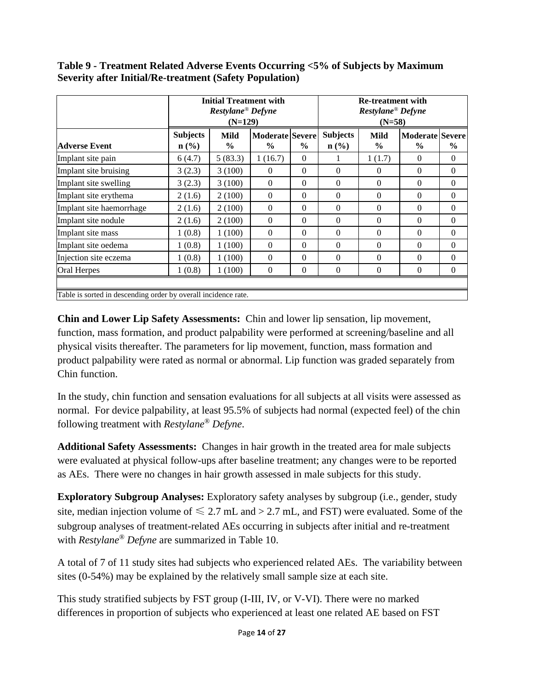**Table 9 - Treatment Related Adverse Events Occurring <5% of Subjects by Maximum Severity after Initial/Re-treatment (Safety Population)**

|                                                                |                                                | <b>Initial Treatment with</b><br>Restylane <sup>®</sup> Defyne<br>$(N=129)$ |                                         |               | <b>Re-treatment with</b><br>Restylane <sup>®</sup> Defyne<br>$(N=58)$ |                              |                                         |                |
|----------------------------------------------------------------|------------------------------------------------|-----------------------------------------------------------------------------|-----------------------------------------|---------------|-----------------------------------------------------------------------|------------------------------|-----------------------------------------|----------------|
| <b>Adverse Event</b>                                           | <b>Subjects</b><br>$n\left(\frac{0}{0}\right)$ | Mild<br>$\frac{0}{0}$                                                       | <b>Moderate Severe</b><br>$\frac{0}{0}$ | $\frac{0}{0}$ | <b>Subjects</b><br>$\mathbf{n}(\%)$                                   | <b>Mild</b><br>$\frac{6}{6}$ | <b>Moderate Severe</b><br>$\frac{0}{0}$ | $\frac{6}{6}$  |
| Implant site pain                                              | 6(4.7)                                         | 5(83.3)                                                                     | 1(16.7)                                 | $\Omega$      |                                                                       | 1(1.7)                       | $\Omega$                                | $\Omega$       |
| Implant site bruising                                          | 3(2.3)                                         | 3(100)                                                                      | $\theta$                                | $\Omega$      | $\Omega$                                                              | $\Omega$                     | $\Omega$                                | $\Omega$       |
| Implant site swelling                                          | 3(2.3)                                         | 3(100)                                                                      | $\Omega$                                | $\Omega$      | $\Omega$                                                              | $\Omega$                     | $\Omega$                                | $\theta$       |
| Implant site erythema                                          | 2(1.6)                                         | 2(100)                                                                      | $\Omega$                                | $\theta$      | $\Omega$                                                              | $\Omega$                     | $\Omega$                                | $\Omega$       |
| Implant site haemorrhage                                       | 2(1.6)                                         | 2(100)                                                                      | $\Omega$                                | $\Omega$      | $\Omega$                                                              | $\theta$                     | $\Omega$                                | $\overline{0}$ |
| Implant site nodule                                            | 2(1.6)                                         | 2(100)                                                                      | $\Omega$                                | $\Omega$      | $\Omega$                                                              | $\theta$                     | $\Omega$                                | $\theta$       |
| Implant site mass                                              | 1(0.8)                                         | 1(100)                                                                      | $\Omega$                                | $\Omega$      | $\Omega$                                                              | $\Omega$                     | $\Omega$                                | $\Omega$       |
| Implant site oedema                                            | 1(0.8)                                         | 1(100)                                                                      | $\Omega$                                | $\theta$      | $\Omega$                                                              | $\theta$                     | $\Omega$                                | $\Omega$       |
| Injection site eczema                                          | 1(0.8)                                         | 1(100)                                                                      | $\theta$                                | $\Omega$      | $\Omega$                                                              | $\Omega$                     | $\Omega$                                | $\theta$       |
| Oral Herpes                                                    | 1(0.8)                                         | 1(100)                                                                      | $\Omega$                                | $\theta$      | $\overline{0}$                                                        | $\overline{0}$               | $\Omega$                                | $\overline{0}$ |
| Table is sorted in descending order by overall incidence rate. |                                                |                                                                             |                                         |               |                                                                       |                              |                                         |                |

**Chin and Lower Lip Safety Assessments:** Chin and lower lip sensation, lip movement, function, mass formation, and product palpability were performed at screening/baseline and all physical visits thereafter. The parameters for lip movement, function, mass formation and product palpability were rated as normal or abnormal. Lip function was graded separately from Chin function.

In the study, chin function and sensation evaluations for all subjects at all visits were assessed as normal. For device palpability, at least 95.5% of subjects had normal (expected feel) of the chin following treatment with *Restylane® Defyne*.

**Additional Safety Assessments:** Changes in hair growth in the treated area for male subjects were evaluated at physical follow-ups after baseline treatment; any changes were to be reported as AEs. There were no changes in hair growth assessed in male subjects for this study.

**Exploratory Subgroup Analyses:** Exploratory safety analyses by subgroup (i.e., gender, study site, median injection volume of  $\leq 2.7$  mL and  $> 2.7$  mL, and FST) were evaluated. Some of the subgroup analyses of treatment-related AEs occurring in subjects after initial and re-treatment with *Restylane® Defyne* are summarized in Table 10.

A total of 7 of 11 study sites had subjects who experienced related AEs. The variability between sites (0-54%) may be explained by the relatively small sample size at each site.

This study stratified subjects by FST group (I-III, IV, or V-VI). There were no marked differences in proportion of subjects who experienced at least one related AE based on FST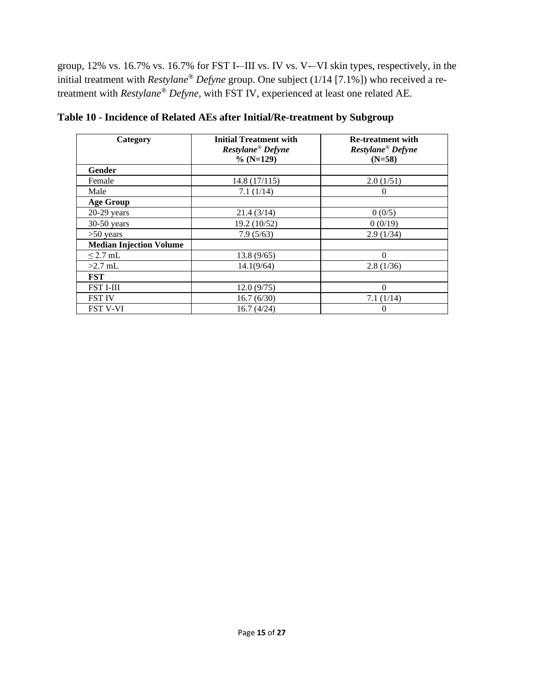group, 12% vs. 16.7% vs. 16.7% for FST I-–III vs. IV vs. V-–VI skin types, respectively, in the initial treatment with *Restylane® Defyne* group. One subject (1/14 [7.1%]) who received a retreatment with *Restylane® Defyne,* with FST IV, experienced at least one related AE.

| Category                       | <b>Initial Treatment with</b><br>Restylane <sup>®</sup> Defyne<br>$\%$ (N=129) | <b>Re-treatment with</b><br>Restylane <sup>®</sup> Defyne<br>$(N=58)$ |
|--------------------------------|--------------------------------------------------------------------------------|-----------------------------------------------------------------------|
| <b>Gender</b>                  |                                                                                |                                                                       |
| Female                         | 14.8(17/115)                                                                   | 2.0(1/51)                                                             |
| Male                           | 7.1(1/14)                                                                      | $\theta$                                                              |
| <b>Age Group</b>               |                                                                                |                                                                       |
| $20-29$ years                  | 21.4(3/14)                                                                     | 0(0/5)                                                                |
| $30-50$ years                  | 19.2 (10/52)                                                                   | 0(0/19)                                                               |
| $>50$ years                    | 7.9(5/63)                                                                      | 2.9(1/34)                                                             |
| <b>Median Injection Volume</b> |                                                                                |                                                                       |
| $\leq$ 2.7 mL                  | 13.8(9/65)                                                                     | $\Omega$                                                              |
| $>2.7$ mL                      | 14.1(9/64)                                                                     | 2.8(1/36)                                                             |
| <b>FST</b>                     |                                                                                |                                                                       |
| <b>FST I-III</b>               | 12.0(9/75)                                                                     | $\Omega$                                                              |
| <b>FST IV</b>                  | 16.7(6/30)                                                                     | 7.1(1/14)                                                             |
| <b>FST V-VI</b>                | 16.7(4/24)                                                                     | $\theta$                                                              |

**Table 10 - Incidence of Related AEs after Initial/Re-treatment by Subgroup**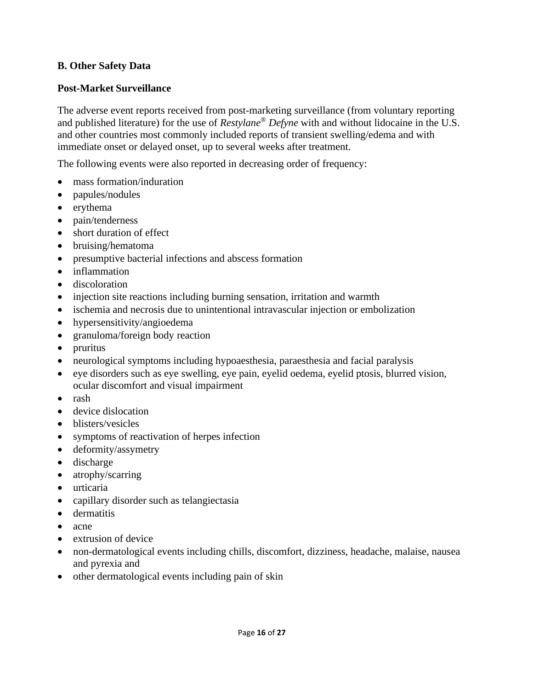#### **B. Other Safety Data**

#### **Post-Market Surveillance**

The adverse event reports received from post-marketing surveillance (from voluntary reporting and published literature) for the use of *Restylane® Defyne* with and without lidocaine in the U.S. and other countries most commonly included reports of transient swelling/edema and with immediate onset or delayed onset, up to several weeks after treatment.

The following events were also reported in decreasing order of frequency:

- mass formation/induration
- papules/nodules
- erythema
- pain/tenderness
- short duration of effect
- bruising/hematoma
- presumptive bacterial infections and abscess formation
- inflammation
- discoloration
- injection site reactions including burning sensation, irritation and warmth
- ischemia and necrosis due to unintentional intravascular injection or embolization
- hypersensitivity/angioedema
- granuloma/foreign body reaction
- pruritus
- neurological symptoms including hypoaesthesia, paraesthesia and facial paralysis
- eye disorders such as eye swelling, eye pain, eyelid oedema, eyelid ptosis, blurred vision, ocular discomfort and visual impairment
- rash
- device dislocation
- blisters/vesicles
- symptoms of reactivation of herpes infection
- deformity/assymetry
- discharge
- atrophy/scarring
- urticaria
- capillary disorder such as telangiectasia
- dermatitis
- acne
- extrusion of device
- non-dermatological events including chills, discomfort, dizziness, headache, malaise, nausea and pyrexia and
- other dermatological events including pain of skin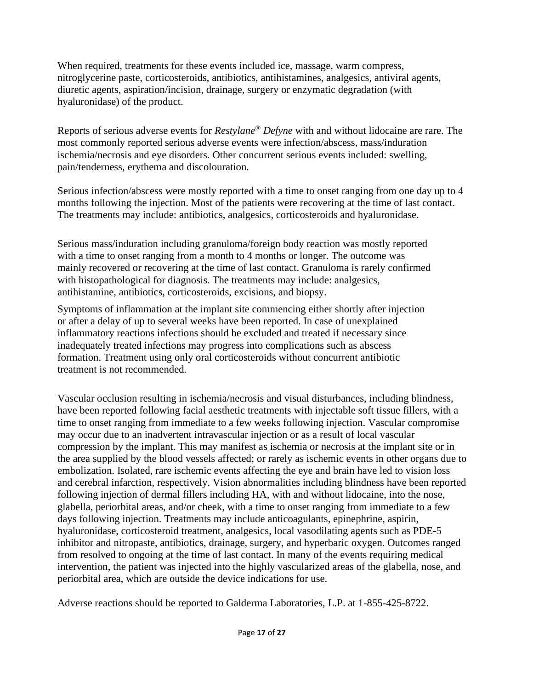When required, treatments for these events included ice, massage, warm compress, nitroglycerine paste, corticosteroids, antibiotics, antihistamines, analgesics, antiviral agents, diuretic agents, aspiration/incision, drainage, surgery or enzymatic degradation (with hyaluronidase) of the product.

Reports of serious adverse events for *Restylane® Defyne* with and without lidocaine are rare. The most commonly reported serious adverse events were infection/abscess, mass/induration ischemia/necrosis and eye disorders. Other concurrent serious events included: swelling, pain/tenderness, erythema and discolouration.

Serious infection/abscess were mostly reported with a time to onset ranging from one day up to 4 months following the injection. Most of the patients were recovering at the time of last contact. The treatments may include: antibiotics, analgesics, corticosteroids and hyaluronidase.

Serious mass/induration including granuloma/foreign body reaction was mostly reported with a time to onset ranging from a month to 4 months or longer. The outcome was mainly recovered or recovering at the time of last contact. Granuloma is rarely confirmed with histopathological for diagnosis. The treatments may include: analgesics, antihistamine, antibiotics, corticosteroids, excisions, and biopsy.

Symptoms of inflammation at the implant site commencing either shortly after injection or after a delay of up to several weeks have been reported. In case of unexplained inflammatory reactions infections should be excluded and treated if necessary since inadequately treated infections may progress into complications such as abscess formation. Treatment using only oral corticosteroids without concurrent antibiotic treatment is not recommended.

Vascular occlusion resulting in ischemia/necrosis and visual disturbances, including blindness, have been reported following facial aesthetic treatments with injectable soft tissue fillers, with a time to onset ranging from immediate to a few weeks following injection. Vascular compromise may occur due to an inadvertent intravascular injection or as a result of local vascular compression by the implant. This may manifest as ischemia or necrosis at the implant site or in the area supplied by the blood vessels affected; or rarely as ischemic events in other organs due to embolization. Isolated, rare ischemic events affecting the eye and brain have led to vision loss and cerebral infarction, respectively. Vision abnormalities including blindness have been reported following injection of dermal fillers including HA, with and without lidocaine, into the nose, glabella, periorbital areas, and/or cheek, with a time to onset ranging from immediate to a few days following injection. Treatments may include anticoagulants, epinephrine, aspirin, hyaluronidase, corticosteroid treatment, analgesics, local vasodilating agents such as PDE-5 inhibitor and nitropaste, antibiotics, drainage, surgery, and hyperbaric oxygen. Outcomes ranged from resolved to ongoing at the time of last contact. In many of the events requiring medical intervention, the patient was injected into the highly vascularized areas of the glabella, nose, and periorbital area, which are outside the device indications for use.

Adverse reactions should be reported to Galderma Laboratories, L.P. at 1-855-425-8722.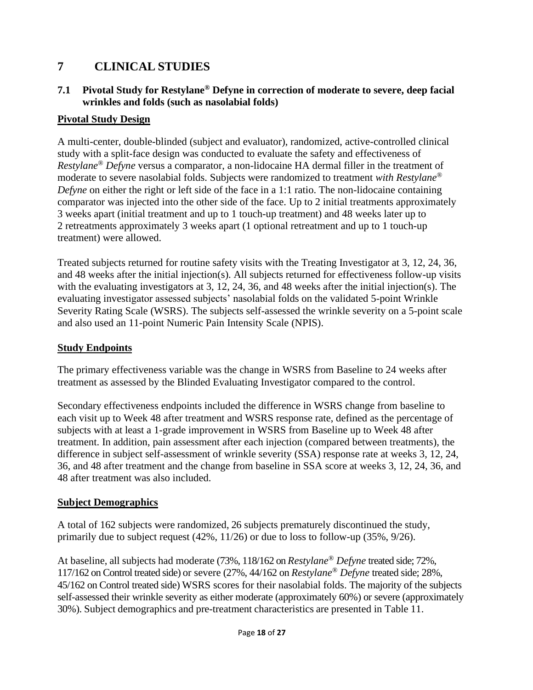## **7 CLINICAL STUDIES**

#### **7.1 Pivotal Study for Restylane® Defyne in correction of moderate to severe, deep facial wrinkles and folds (such as nasolabial folds)**

#### **Pivotal Study Design**

A multi-center, double-blinded (subject and evaluator), randomized, active-controlled clinical study with a split-face design was conducted to evaluate the safety and effectiveness of *Restylane® Defyne* versus a comparator, a non-lidocaine HA dermal filler in the treatment of moderate to severe nasolabial folds. Subjects were randomized to treatment *with Restylane® Defyne* on either the right or left side of the face in a 1:1 ratio. The non-lidocaine containing comparator was injected into the other side of the face. Up to 2 initial treatments approximately 3 weeks apart (initial treatment and up to 1 touch-up treatment) and 48 weeks later up to 2 retreatments approximately 3 weeks apart (1 optional retreatment and up to 1 touch-up treatment) were allowed.

Treated subjects returned for routine safety visits with the Treating Investigator at 3, 12, 24, 36, and 48 weeks after the initial injection(s). All subjects returned for effectiveness follow-up visits with the evaluating investigators at 3, 12, 24, 36, and 48 weeks after the initial injection(s). The evaluating investigator assessed subjects' nasolabial folds on the validated 5-point Wrinkle Severity Rating Scale (WSRS). The subjects self-assessed the wrinkle severity on a 5-point scale and also used an 11-point Numeric Pain Intensity Scale (NPIS).

#### **Study Endpoints**

The primary effectiveness variable was the change in WSRS from Baseline to 24 weeks after treatment as assessed by the Blinded Evaluating Investigator compared to the control.

Secondary effectiveness endpoints included the difference in WSRS change from baseline to each visit up to Week 48 after treatment and WSRS response rate, defined as the percentage of subjects with at least a 1-grade improvement in WSRS from Baseline up to Week 48 after treatment. In addition, pain assessment after each injection (compared between treatments), the difference in subject self-assessment of wrinkle severity (SSA) response rate at weeks 3, 12, 24, 36, and 48 after treatment and the change from baseline in SSA score at weeks 3, 12, 24, 36, and 48 after treatment was also included.

#### **Subject Demographics**

A total of 162 subjects were randomized, 26 subjects prematurely discontinued the study, primarily due to subject request (42%, 11/26) or due to loss to follow-up (35%, 9/26).

At baseline, all subjects had moderate (73%, 118/162 on *Restylane® Defyne* treated side; 72%, 117/162 on Control treated side) or severe (27%, 44/162 on *Restylane® Defyne* treated side; 28%, 45/162 on Control treated side) WSRS scores for their nasolabial folds. The majority of the subjects self-assessed their wrinkle severity as either moderate (approximately 60%) or severe (approximately 30%). Subject demographics and pre-treatment characteristics are presented in Table 11.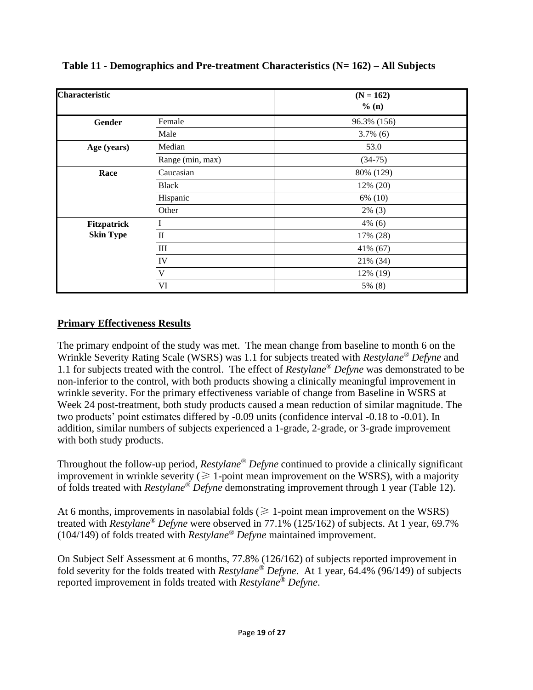| <b>Characteristic</b> |                            | $(N = 162)$<br>% (n) |
|-----------------------|----------------------------|----------------------|
| Gender                | Female                     | 96.3% (156)          |
|                       | Male                       | $3.7\%$ (6)          |
| Age (years)           | Median                     | 53.0                 |
|                       | Range (min, max)           | $(34-75)$            |
| Race                  | Caucasian                  | 80% (129)            |
|                       | <b>Black</b>               | 12% (20)             |
|                       | Hispanic                   | 6% (10)              |
|                       | Other                      | $2\%$ (3)            |
| <b>Fitzpatrick</b>    |                            | $4\%$ (6)            |
| <b>Skin Type</b>      | $\mathop{\rm II}\nolimits$ | 17% (28)             |
|                       | $\rm III$                  | 41% (67)             |
|                       | IV                         | 21% (34)             |
|                       | V                          | 12% (19)             |
|                       | VI                         | 5% (8)               |

**Table 11 - Demographics and Pre-treatment Characteristics (N= 162) – All Subjects**

### **Primary Effectiveness Results**

The primary endpoint of the study was met. The mean change from baseline to month 6 on the Wrinkle Severity Rating Scale (WSRS) was 1.1 for subjects treated with *Restylane ® Defyne* and 1.1 for subjects treated with the control. The effect of *Restylane® Defyne* was demonstrated to be non-inferior to the control, with both products showing a clinically meaningful improvement in wrinkle severity. For the primary effectiveness variable of change from Baseline in WSRS at Week 24 post-treatment, both study products caused a mean reduction of similar magnitude. The two products' point estimates differed by -0.09 units (confidence interval -0.18 to -0.01). In addition, similar numbers of subjects experienced a 1-grade, 2-grade, or 3-grade improvement with both study products.

Throughout the follow-up period, *Restylane® Defyne* continued to provide a clinically significant improvement in wrinkle severity ( $\geq 1$ -point mean improvement on the WSRS), with a majority of folds treated with *Restylane® Defyne* demonstrating improvement through 1 year (Table 12).

At 6 months, improvements in nasolabial folds ( $\geq 1$ -point mean improvement on the WSRS) treated with *Restylane® Defyne* were observed in 77.1% (125/162) of subjects. At 1 year, 69.7% (104/149) of folds treated with *Restylane® Defyne* maintained improvement.

On Subject Self Assessment at 6 months, 77.8% (126/162) of subjects reported improvement in fold severity for the folds treated with *Restylane® Defyne*. At 1 year, 64.4% (96/149) of subjects reported improvement in folds treated with *Restylane® Defyne*.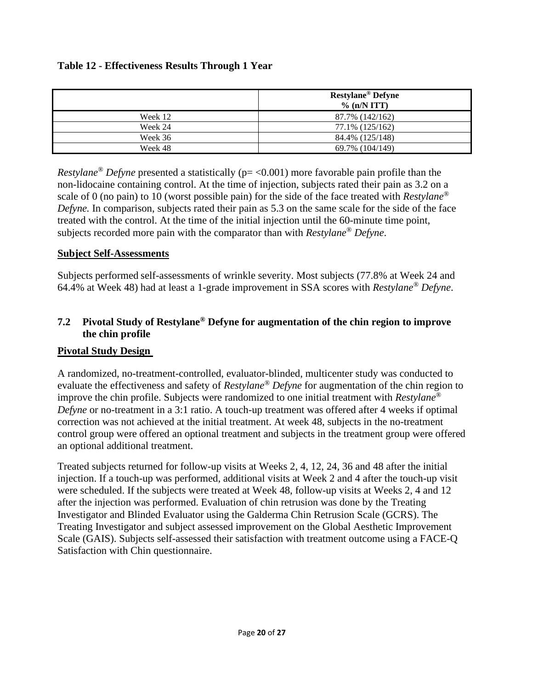|         | <b>Restylane®</b> Defyne<br>$\%$ (n/N ITT) |  |
|---------|--------------------------------------------|--|
| Week 12 | 87.7% (142/162)                            |  |
| Week 24 | 77.1% (125/162)                            |  |
| Week 36 | 84.4% (125/148)                            |  |
| Week 48 | 69.7% (104/149)                            |  |

*Restylane<sup>®</sup> Defyne* presented a statistically (p= <0.001) more favorable pain profile than the non-lidocaine containing control. At the time of injection, subjects rated their pain as 3.2 on a scale of 0 (no pain) to 10 (worst possible pain) for the side of the face treated with *Restylane® Defyne.* In comparison, subjects rated their pain as 5.3 on the same scale for the side of the face treated with the control. At the time of the initial injection until the 60-minute time point, subjects recorded more pain with the comparator than with *Restylane® Defyne*.

#### **Subject Self-Assessments**

Subjects performed self-assessments of wrinkle severity. Most subjects (77.8% at Week 24 and 64.4% at Week 48) had at least a 1-grade improvement in SSA scores with *Restylane® Defyne*.

#### **7.2 Pivotal Study of Restylane® Defyne for augmentation of the chin region to improve the chin profile**

#### **Pivotal Study Design**

A randomized, no-treatment-controlled, evaluator-blinded, multicenter study was conducted to evaluate the effectiveness and safety of *Restylane® Defyne* for augmentation of the chin region to improve the chin profile. Subjects were randomized to one initial treatment with *Restylane® Defyne* or no-treatment in a 3:1 ratio. A touch-up treatment was offered after 4 weeks if optimal correction was not achieved at the initial treatment. At week 48, subjects in the no-treatment control group were offered an optional treatment and subjects in the treatment group were offered an optional additional treatment.

Treated subjects returned for follow-up visits at Weeks 2, 4, 12, 24, 36 and 48 after the initial injection. If a touch-up was performed, additional visits at Week 2 and 4 after the touch-up visit were scheduled. If the subjects were treated at Week 48, follow-up visits at Weeks 2, 4 and 12 after the injection was performed. Evaluation of chin retrusion was done by the Treating Investigator and Blinded Evaluator using the Galderma Chin Retrusion Scale (GCRS). The Treating Investigator and subject assessed improvement on the Global Aesthetic Improvement Scale (GAIS). Subjects self-assessed their satisfaction with treatment outcome using a FACE-Q Satisfaction with Chin questionnaire.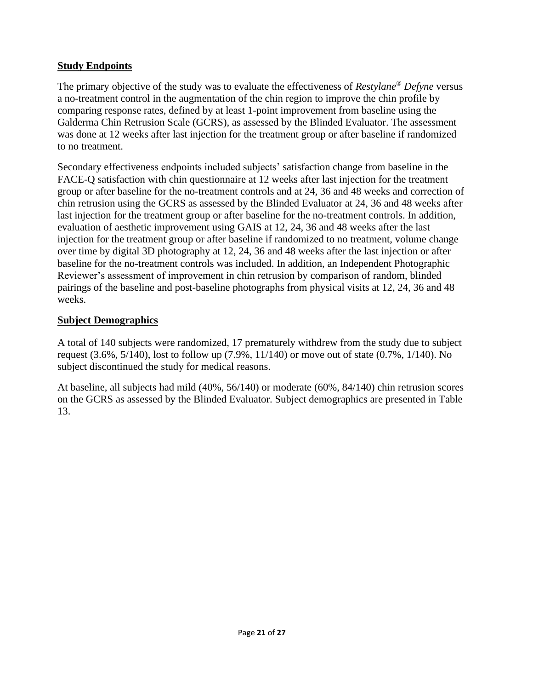#### **Study Endpoints**

The primary objective of the study was to evaluate the effectiveness of *Restylane® Defyne* versus a no-treatment control in the augmentation of the chin region to improve the chin profile by comparing response rates, defined by at least 1-point improvement from baseline using the Galderma Chin Retrusion Scale (GCRS), as assessed by the Blinded Evaluator. The assessment was done at 12 weeks after last injection for the treatment group or after baseline if randomized to no treatment.

Secondary effectiveness endpoints included subjects' satisfaction change from baseline in the FACE-Q satisfaction with chin questionnaire at 12 weeks after last injection for the treatment group or after baseline for the no-treatment controls and at 24, 36 and 48 weeks and correction of chin retrusion using the GCRS as assessed by the Blinded Evaluator at 24, 36 and 48 weeks after last injection for the treatment group or after baseline for the no-treatment controls. In addition, evaluation of aesthetic improvement using GAIS at 12, 24, 36 and 48 weeks after the last injection for the treatment group or after baseline if randomized to no treatment, volume change over time by digital 3D photography at 12, 24, 36 and 48 weeks after the last injection or after baseline for the no-treatment controls was included. In addition, an Independent Photographic Reviewer's assessment of improvement in chin retrusion by comparison of random, blinded pairings of the baseline and post-baseline photographs from physical visits at 12, 24, 36 and 48 weeks.

#### **Subject Demographics**

A total of 140 subjects were randomized, 17 prematurely withdrew from the study due to subject request (3.6%, 5/140), lost to follow up (7.9%, 11/140) or move out of state (0.7%, 1/140). No subject discontinued the study for medical reasons.

At baseline, all subjects had mild (40%, 56/140) or moderate (60%, 84/140) chin retrusion scores on the GCRS as assessed by the Blinded Evaluator. Subject demographics are presented in Table 13.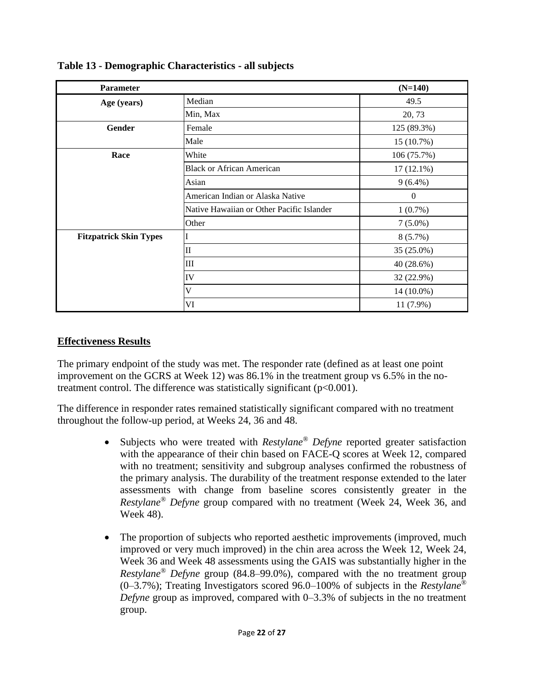| <b>Parameter</b>              |                                           | $(N=140)$    |
|-------------------------------|-------------------------------------------|--------------|
| Age (years)                   | Median                                    | 49.5         |
|                               | Min, Max                                  | 20, 73       |
| Gender                        | Female                                    | 125 (89.3%)  |
|                               | Male                                      | 15 (10.7%)   |
| Race                          | White                                     | 106 (75.7%)  |
|                               | <b>Black or African American</b>          | $17(12.1\%)$ |
|                               | Asian                                     | $9(6.4\%)$   |
|                               | American Indian or Alaska Native          | $\mathbf{0}$ |
|                               | Native Hawaiian or Other Pacific Islander | 1(0.7%)      |
|                               | Other                                     | $7(5.0\%)$   |
| <b>Fitzpatrick Skin Types</b> |                                           | 8(5.7%)      |
|                               | $\mathbf{I}$                              | 35 (25.0%)   |
|                               | III                                       | 40 (28.6%)   |
|                               | IV                                        | 32 (22.9%)   |
|                               | $\bar{V}$                                 | 14 (10.0%)   |
|                               | VI                                        | 11 (7.9%)    |

### **Table 13 - Demographic Characteristics - all subjects**

#### **Effectiveness Results**

The primary endpoint of the study was met. The responder rate (defined as at least one point improvement on the GCRS at Week 12) was 86.1% in the treatment group vs 6.5% in the notreatment control. The difference was statistically significant  $(p<0.001)$ .

The difference in responder rates remained statistically significant compared with no treatment throughout the follow-up period, at Weeks 24, 36 and 48.

- Subjects who were treated with *Restylane® Defyne* reported greater satisfaction with the appearance of their chin based on FACE-Q scores at Week 12, compared with no treatment; sensitivity and subgroup analyses confirmed the robustness of the primary analysis. The durability of the treatment response extended to the later assessments with change from baseline scores consistently greater in the *Restylane® Defyne* group compared with no treatment (Week 24, Week 36, and Week 48).
- The proportion of subjects who reported aesthetic improvements (improved, much improved or very much improved) in the chin area across the Week 12, Week 24, Week 36 and Week 48 assessments using the GAIS was substantially higher in the *Restylane® Defyne* group (84.8–99.0%), compared with the no treatment group (0–3.7%); Treating Investigators scored 96.0–100% of subjects in the *Restylane® Defyne* group as improved, compared with 0–3.3% of subjects in the no treatment group.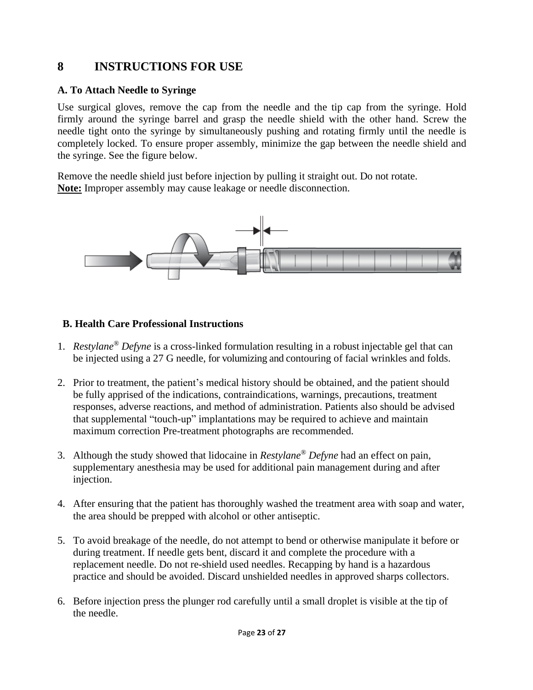## **8 INSTRUCTIONS FOR USE**

#### **A. To Attach Needle to Syringe**

Use surgical gloves, remove the cap from the needle and the tip cap from the syringe. Hold firmly around the syringe barrel and grasp the needle shield with the other hand. Screw the needle tight onto the syringe by simultaneously pushing and rotating firmly until the needle is completely locked. To ensure proper assembly, minimize the gap between the needle shield and the syringe. See the figure below.

Remove the needle shield just before injection by pulling it straight out. Do not rotate. **Note:** Improper assembly may cause leakage or needle disconnection.



#### **B. Health Care Professional Instructions**

- 1. *Restylane® Defyne* is a cross-linked formulation resulting in a robust injectable gel that can be injected using a 27 G needle, for volumizing and contouring of facial wrinkles and folds.
- 2. Prior to treatment, the patient's medical history should be obtained, and the patient should be fully apprised of the indications, contraindications, warnings, precautions, treatment responses, adverse reactions, and method of administration. Patients also should be advised that supplemental "touch-up" implantations may be required to achieve and maintain maximum correction Pre-treatment photographs are recommended.
- 3. Although the study showed that lidocaine in *Restylane® Defyne* had an effect on pain, supplementary anesthesia may be used for additional pain management during and after injection.
- 4. After ensuring that the patient has thoroughly washed the treatment area with soap and water, the area should be prepped with alcohol or other antiseptic.
- 5. To avoid breakage of the needle, do not attempt to bend or otherwise manipulate it before or during treatment. If needle gets bent, discard it and complete the procedure with a replacement needle. Do not re-shield used needles. Recapping by hand is a hazardous practice and should be avoided. Discard unshielded needles in approved sharps collectors.
- 6. Before injection press the plunger rod carefully until a small droplet is visible at the tip of the needle.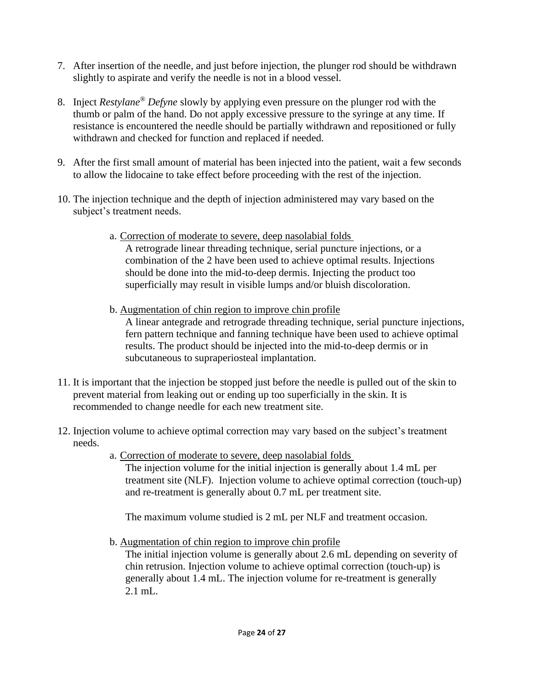- 7. After insertion of the needle, and just before injection, the plunger rod should be withdrawn slightly to aspirate and verify the needle is not in a blood vessel.
- 8. Inject *Restylane® Defyne* slowly by applying even pressure on the plunger rod with the thumb or palm of the hand. Do not apply excessive pressure to the syringe at any time. If resistance is encountered the needle should be partially withdrawn and repositioned or fully withdrawn and checked for function and replaced if needed.
- 9. After the first small amount of material has been injected into the patient, wait a few seconds to allow the lidocaine to take effect before proceeding with the rest of the injection.
- 10. The injection technique and the depth of injection administered may vary based on the subject's treatment needs.
	- a. Correction of moderate to severe, deep nasolabial folds A retrograde linear threading technique, serial puncture injections, or a combination of the 2 have been used to achieve optimal results. Injections should be done into the mid-to-deep dermis. Injecting the product too superficially may result in visible lumps and/or bluish discoloration.
	- b. Augmentation of chin region to improve chin profile

A linear antegrade and retrograde threading technique, serial puncture injections, fern pattern technique and fanning technique have been used to achieve optimal results. The product should be injected into the mid-to-deep dermis or in subcutaneous to supraperiosteal implantation.

- 11. It is important that the injection be stopped just before the needle is pulled out of the skin to prevent material from leaking out or ending up too superficially in the skin. It is recommended to change needle for each new treatment site.
- 12. Injection volume to achieve optimal correction may vary based on the subject's treatment needs.
	- a. Correction of moderate to severe, deep nasolabial folds The injection volume for the initial injection is generally about 1.4 mL per treatment site (NLF). Injection volume to achieve optimal correction (touch-up) and re-treatment is generally about 0.7 mL per treatment site.

The maximum volume studied is 2 mL per NLF and treatment occasion.

b. Augmentation of chin region to improve chin profile

The initial injection volume is generally about 2.6 mL depending on severity of chin retrusion. Injection volume to achieve optimal correction (touch-up) is generally about 1.4 mL. The injection volume for re-treatment is generally 2.1 mL.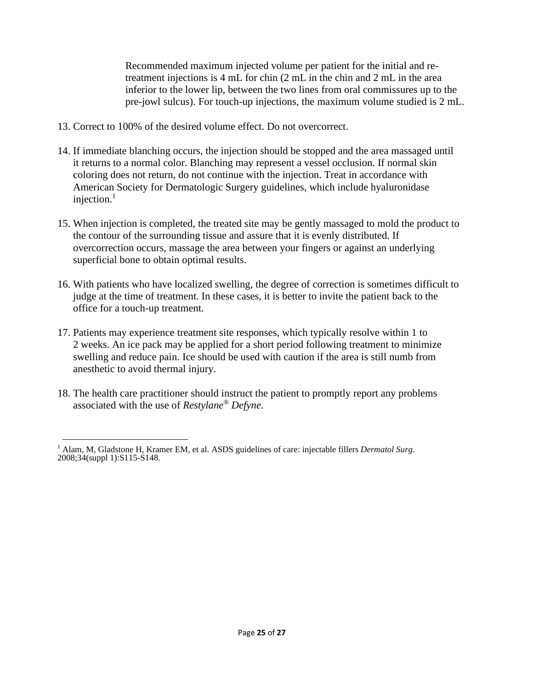Recommended maximum injected volume per patient for the initial and retreatment injections is 4 mL for chin (2 mL in the chin and 2 mL in the area inferior to the lower lip, between the two lines from oral commissures up to the pre-jowl sulcus). For touch-up injections, the maximum volume studied is 2 mL.

- 13. Correct to 100% of the desired volume effect. Do not overcorrect.
- 14. If immediate blanching occurs, the injection should be stopped and the area massaged until it returns to a normal color. Blanching may represent a vessel occlusion. If normal skin coloring does not return, do not continue with the injection. Treat in accordance with American Society for Dermatologic Surgery guidelines, which include hyaluronidase injection. $<sup>1</sup>$ </sup>
- 15. When injection is completed, the treated site may be gently massaged to mold the product to the contour of the surrounding tissue and assure that it is evenly distributed. If overcorrection occurs, massage the area between your fingers or against an underlying superficial bone to obtain optimal results.
- 16. With patients who have localized swelling, the degree of correction is sometimes difficult to judge at the time of treatment. In these cases, it is better to invite the patient back to the office for a touch-up treatment.
- 17. Patients may experience treatment site responses, which typically resolve within 1 to 2 weeks. An ice pack may be applied for a short period following treatment to minimize swelling and reduce pain. Ice should be used with caution if the area is still numb from anesthetic to avoid thermal injury.
- 18. The health care practitioner should instruct the patient to promptly report any problems associated with the use of *Restylane® Defyne*.

<sup>1</sup> Alam, M, Gladstone H, Kramer EM, et al. ASDS guidelines of care: injectable fillers *Dermatol Surg.* 2008;34(suppl 1):S115-S148.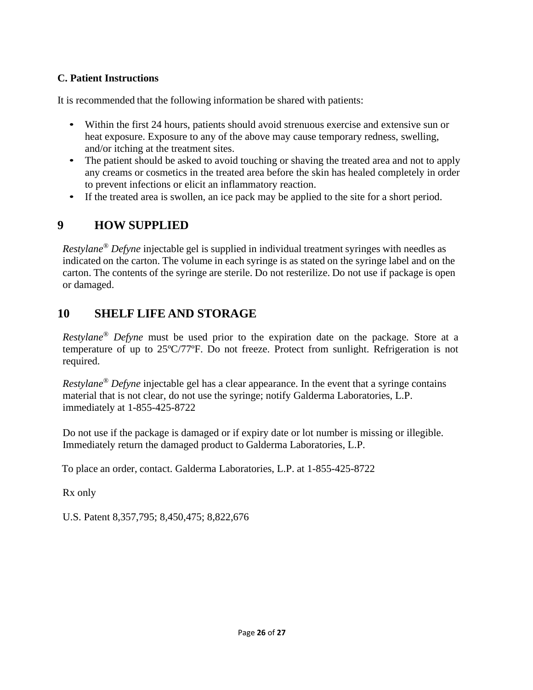### **C. Patient Instructions**

It is recommended that the following information be shared with patients:

- Within the first 24 hours, patients should avoid strenuous exercise and extensive sun or heat exposure. Exposure to any of the above may cause temporary redness, swelling, and/or itching at the treatment sites.
- The patient should be asked to avoid touching or shaving the treated area and not to apply any creams or cosmetics in the treated area before the skin has healed completely in order to prevent infections or elicit an inflammatory reaction.
- If the treated area is swollen, an ice pack may be applied to the site for a short period.

# **9 HOW SUPPLIED**

*Restylane® Defyne* injectable gel is supplied in individual treatment syringes with needles as indicated on the carton. The volume in each syringe is as stated on the syringe label and on the carton. The contents of the syringe are sterile. Do not resterilize. Do not use if package is open or damaged.

# **10 SHELF LIFE AND STORAGE**

*Restylane® Defyne* must be used prior to the expiration date on the package*.* Store at a temperature of up to 25ºC/77ºF. Do not freeze. Protect from sunlight. Refrigeration is not required.

*Restylane® Defyne* injectable gel has a clear appearance. In the event that a syringe contains material that is not clear, do not use the syringe; notify Galderma Laboratories, L.P. immediately at 1-855-425-8722

Do not use if the package is damaged or if expiry date or lot number is missing or illegible. Immediately return the damaged product to Galderma Laboratories, L.P.

To place an order, contact. Galderma Laboratories, L.P. at 1-855-425-8722

Rx only

U.S. Patent 8,357,795; 8,450,475; 8,822,676